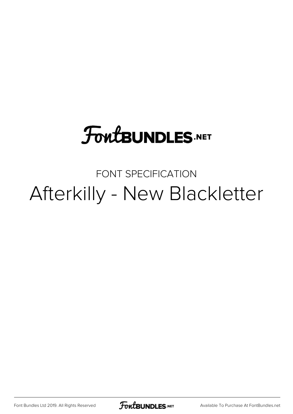# **FoutBUNDLES.NET**

## FONT SPECIFICATION Afterkilly - New Blackletter

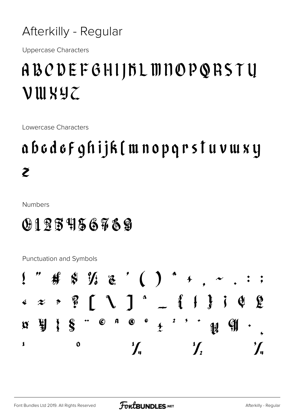Afterkilly - Regular

**Uppercase Characters** 

## ABODEFGHIJBLMNOPQRSTY VUIXYZ

Lowercase Characters

## abodof ghijk (mnopqrstuvwxy  $\tilde{\mathcal{Z}}$

**Numbers** 

### 0125456789

Punctuation and Symbols

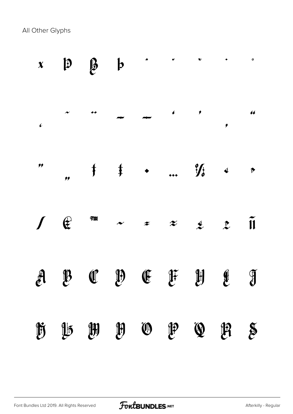All Other Glyphs

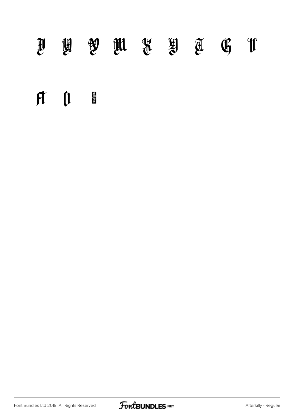## $\begin{array}{ccccccccccccccccccccc} \mathbb{H} & \mathbb{H} & \mathbb{W} & \mathbb{W} & \mathbb{W} & \mathbb{W} & \mathbb{W} & \mathbb{W} & \mathbb{W} & \mathbb{W} & \mathbb{W} & \mathbb{W} & \mathbb{W} & \mathbb{W} & \mathbb{W} & \mathbb{W} & \mathbb{W} & \mathbb{W} & \mathbb{W} & \mathbb{W} & \mathbb{W} & \mathbb{W} & \mathbb{W} & \mathbb{W} & \mathbb{W} & \mathbb{W} & \mathbb{W} & \mathbb{W} & \mathbb{W} & \mathbb{W$

#### $\mathfrak{h}$   $\mathfrak{l}$   $\mathfrak{l}$

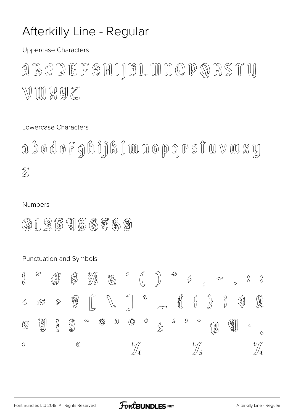#### Afterkilly Line - Regular

**Uppercase Characters** 

BODEFGHIJHLMNOPQRSTY  $\left(\begin{matrix} 1 \\ 0 \\ 1 \end{matrix}\right)$ WMKYZ

Lowercase Characters

abodofghijk [mnopgrs i uvwxy  $\widetilde{Z}$ 

#### **Numbers**

 $\int\limits_{\infty}$ 

 $\textcircled{4}$ 

L

(HIRESTEGTAS)

#### Punctuation and Symbols  $\mathcal{D}$  $\biggr)$ D **AP**  $\mathbb{N}$  $\frac{\%}{\%}$  $\sqrt{2}$  $\mathbb{Z}$ J.  $\begin{array}{c} \diamond \\ \diamond \end{array}$  $\Diamond$  $\circledA$  $\sqrt{ }$ R  $\delta$  $\int_{1}^{\infty}$  $\left\{\right\}$  $\frac{1}{3}$ Þ  $\bigotimes$  $\mathcal{B}% _{G}=\mathbb{R}^{2}\times\mathbb{R}^{2}$  $\begin{matrix} 1 \\ 2 \end{matrix}$ SC ® 凤  $\circled{c}$  $\circledS$ B 瀏  $^{\circledR}$  $\Diamond$  $\infty$ (fj  $\mathbb{Z}$  $\frac{1}{2}$ 舰  $\Diamond$  $\frac{1}{2}$  $\circledcirc$  $\frac{1}{\sqrt{\pi}}$ \$<br>//m

 $\frac{\diamond}{\diamond}$ 

 $\binom{R}{2}$ 

 $\mathcal{L}$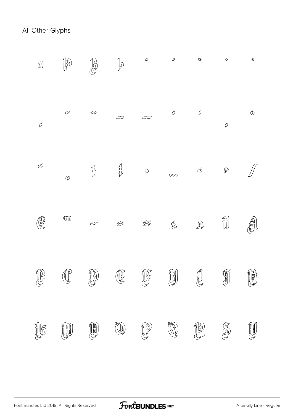All Other Glyphs